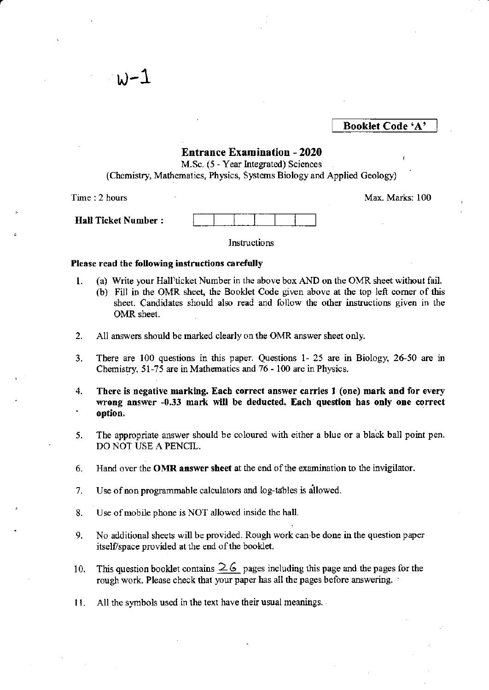### Booklet Code 'A'

### Entrance Examination - 2020

M.Sc. (5 - Year Integrated) Sciences (Chemistry, Mathematics, Physics, Systems Biology and Applied Geology)

Time : 2 hours

 $w-1$ 

Max. Marks: 100

|                    | --- |  |  |  |
|--------------------|-----|--|--|--|
| Hall Ticket Number |     |  |  |  |

Instructions

### Please read the following instructions carefully

- l. (a) write your Hall)ticket Number in thc above box AND on the OMR sheet without fail.
	- (b) Fill in the OMR sheet, the Booklet Code given above at the top left comer of this sheet. Candidates should also read and follow the other instructions given in the OMR sheet.
- 2. All answers should be marked clearly on the OMR answer sheet only.
- 3. There are 100 questions in this paper. Questions 1- 25 are in Biology, 26-50 are in Chemistry, 5l-75 are in Mathematics and 76 - 100 arc in Physics.
- 4. There is negative marking. Each correct answer carries I (one) mark and for every wrong answer -0.33 mark will be deducted. Each question has only one correct option.
- 5. The appropriate answer should be coloured with either a blue or a black ball point pen. DO NOT USE A PENCIL.
- 6. Hand over the OMR answer sheet at the end of the examination to the invigilator.
- 7. Use of non programmable calculators and log-tables is allowed.
- 8. Use of mobile phone is NOT allowed inside the hall.
- 9. No additional sheets will be provided. Rough work can be done in the question paper itself/space provided at the end of the booklet.
- 10. This question booklet contains  $\geq 6$  pages including this page and the pages for the rough work. Please check that your paper has all the pages before answering. '
- 11. All the symbols used in the text have their usual meanings.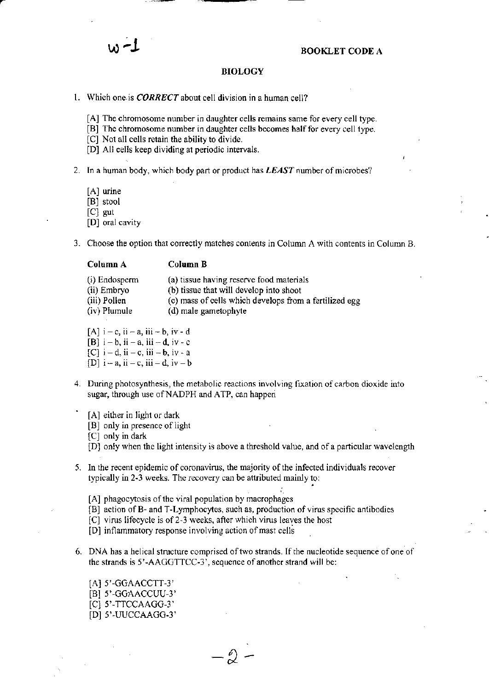### BIOLOGY

- 1. Which one is **CORRECT** about cell division in a human cell?
	- [A] The chromosome number in daughter cells remains same for every cell type.
	- [B] The chromosome number in daughter cells becomes half for every cell type.
	- [C] Not all cells retain the ability to divide.
	- [D] All cells keep dividing at periodic intervals.
- 2. In a human body, which body part or product has  $LEAST$  number of microbes?
	- $[A]$  urine

[B] stool

 $[C]$  gut

- [D] oral cavity
- 3. Choose the option that correctly matches contents in Column A with contents in Column B.

### Column A Column B

| $(i)$ Endosperm | (a) tissue having reserve food materials               |
|-----------------|--------------------------------------------------------|
| (ii) Embryo     | (b) tissue that will develop into shoot                |
| (iii) Pollen    | (c) mass of cells which develops from a fertilized egg |
| (iv) Plumule    | (d) male gametophyte                                   |

- [A]  $i c$ ,  $ii a$ ,  $iii b$ ,  $iv d$  $[B]$  i - b, ii - a, iii - d, iv - c
- $[C]$  i d, ii c, iii b, iv a
- [D]  $i a$ , ii  $-c$ , iii  $-d$ , iv  $-b$
- 4. During photosynthesis, the metabolic reactions involving fixation of carbon dioxide into sugar, through use of NADPH and ATP, can happen
	- [A] either in light or dark
		- [B] only in presence of light
		- $[C]$  only in dark
		- IDI only when the light intensity is above a threshold value, and of a panicular wavelength
- 5. In the recent epidemic of coronavirus, the majority of the infected individuals recover typically in 2-3 weeks. The recovery can be attributed mainly to:
	- [A] phagocytosis of the viral population by macrophages
	- [B] action of B- and T-Lymphocytes, such as, production of virus specific antibodies
	- lCl virus lifecycle is of2"3 weeks, after which virus leaves the host
	- [D] inflammatory response involving action of mast cells
- 6. DNA has a helical structure comprised of two strands. If the nucleotide sequence of one of the strands is 5'-AAGGTTCC-3', sequence of another strand will be:

 $-\hat{D}$  -

 $[A]$  5'-GGAACCTT-3'  $[B]$  5'-GGAACCUU-3' [C] 5'-TTCCAAGG-3' [D] 5'-UUCCAAGG-3'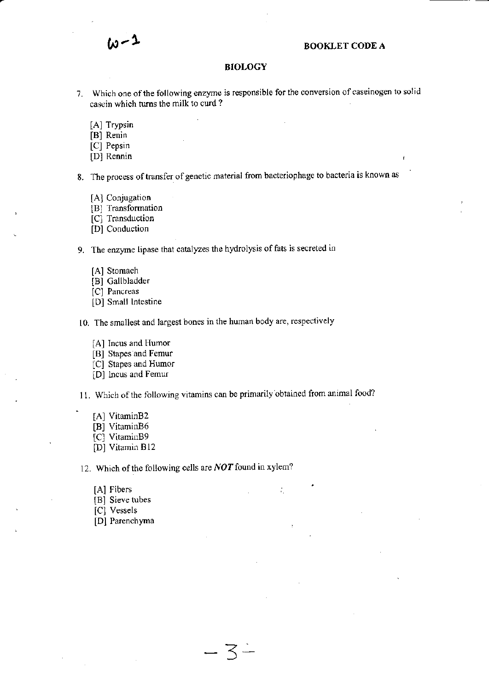## $\omega - 1$  BOOKLET CODE A

### BIOLOGY

- 7. Which one of the following enzyme is responsible for the conversion of caseinogen to solid casein which turns the milk to curd?
	- [A] Trypsin
	- [B] Renin
	- [C] Pepsin
	- [D] Rennin

8. The process of transfer of genctic material from bacteriophage to bacteria is known as

- [A] Conjugation
- [B] Transformation
- [C] Transduction
- [D] Conduction

9. The enzyme lipase that catalyzes the hydrolysis of fats is secreted in

- [A] Stomach
- [B] Gallbladder
- [C] Pancreas
- [D] Small Intestine

10. The smallest and largest bones in the human body are, respectively

- [A] Incus and Humor
- [B] Stapes and Femur
- [C] Stapes and Humor
- [D] Incus and Femur

11. Which of the following vitamins can be primarily obtained from animal food?

 $\overline{3}$  –

÷,

- [A] VitaminB2
- [B] VitaminB6
- [C] VitaminB9
- [D] Vitamin B12

12. Which of the following cells are  $NOT$  found in xylem?

- [A] Fibers
- [B] Sieve tubes
- [C] Vessels
- [D] Parenchyma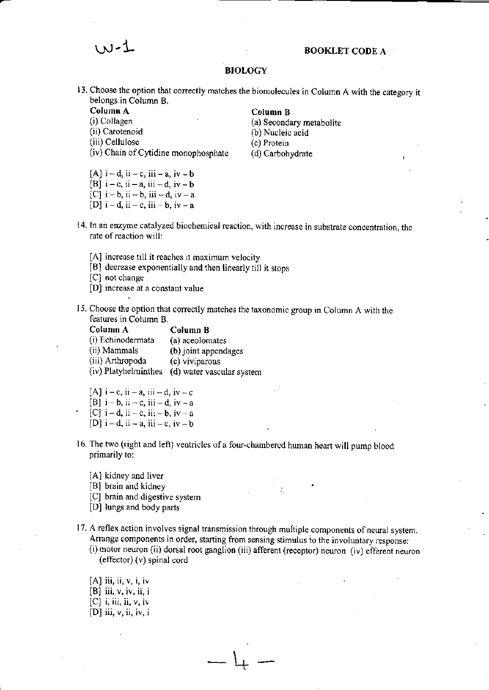# w-! BOOKLET CODE <sup>A</sup>

### BIOLOGY

- 13. Choose the option that correctly matches the biomolecules in Column A with the category it belongs in Column B.
	- Column A
	- (i) Collagen
	- (ii) Carotenoid
	- (iii) Cellulose
	- (iv) Chain of Cytidine monophosphate (d) Carbohydrate
	- [A]  $i-d$ , ii. c, iii. a, iv. b
	- [B]  $i c$ , ii  $a$ , iii  $-d$ , iv  $-b$
	- $[C]$  i-b, ii-b, iii -d, iv-a
	- $[D]$  i-d, ii-c, iii-b, iv-a
- 14. In an enzyme catalyzed biochemical reaction, with increase in substrate concentration, the rate of reaction will:
	- [A] increase till it reaches it maximum velocity
	- [B] decrease exponentially and then linearlytill jt stops
	- [C] not change
	- [D] increase at a constant value
- 15. Choose the option that correctly matches the taxonomic group in Column A with the features in Coiumn B.
	- Column A Column B<br>(i) Echinodermata (a) aceolomates (i) Echinodermata (ii) Mammals (b) joint appendages (iii) Arthropoda (c) viviparous (iv) Platyhelminthes (d) water vascular system
	-
	- [A] i-c, ii a, iii d, iv c<br>[B] i-b, ii c, iii d, iv a  $[C]$  i-d, ii - c, iii - b, iv - a
	- [D]  $i-d$ ,  $ii-a$ ,  $iii-c$ ,  $iv-b$
- 16. The two (right and left) ventricles of a four-chambered human heart will pump blood primarily to:
	- [A] kidney and liver
	- [B] brain and kidney
	- [C] brain and digestive system
	- [D] lungs and body parts
- 17. A reflex action involves signal transmission through multiple components of neural system. Arrange components in order, starting from sensing stimulus to the involuntary response:

<sup>1</sup> +t1

- (i) motor neuron (ii) dorsal root ganglion (iii) afferent (receptor) neuron (iv) efferent neuron  $(effector)$   $(v)$  spinal cord
- $[A]$  iii, ii,  $v, i, iv$  $[B]$  iii,  $v$ , iv, ii, i  $[C]$  i, iii, ii,  $v$ , iv [D] iii,  $v$ , ii, iv, i

### Column B

- (a) Seoondary metabol ite (b) Nucleic acid (c) Protein
-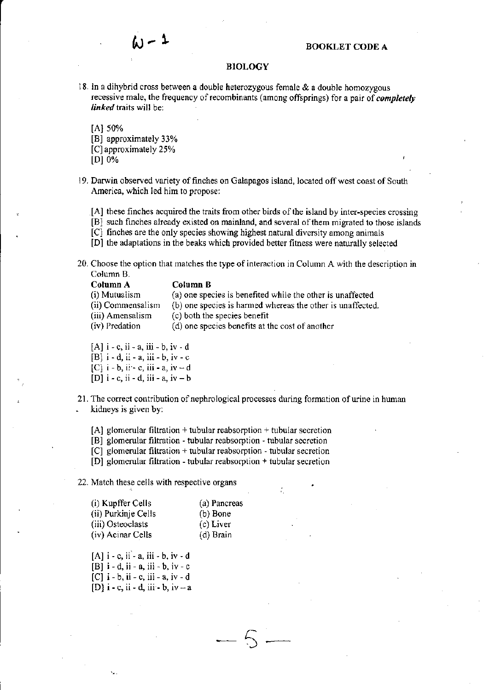

### **BIOLOGY**

I8. ln a dihybrid cross between a double heterozygous female & a double homozygous recessive male, the frequency of recombinants (among offsprings) for a pair of *completely* linked traits will be:

IAI s0%

- [B] approximately 33%
- [C] approximately 25%
- $[D]0%$
- 19. Darwin observed variety of finches on Galapagos island, located off west coast of South America, which led him to propose;

[A] these finches acquired the traits from other birds of the island by inter-species crossing

[B] such finches already existed on mainland, and several of them migrated to those islands

 $[C]$  finches are the only species showing highest natural diversity among animals

- [D] the adaptations in the beaks which provided better fitness were narurally selected
- 20. Choose the option that matches the type of interaction in Column A with the description in Column B.

| Column B                                                   |
|------------------------------------------------------------|
| (a) one species is benefited while the other is unaffected |
| (b) one species is harmed whereas the other is unaffected  |
| (c) both the species benefit                               |
| (d) one species benefits at the cost of another            |
|                                                            |

- $[A]$  i c, ii a, iii b, iv d
- $[B]$  i d, ii a, iii b, iv c
- $[C]$  i b, ii c, iii a, iv d
- $[D]$  i c, ii d, iii a, iv b
- 21. The correct contribution of nephrological processes during formation of urine in human . kidneys is given by:

 $[A]$  glomerular filtration + tubular reabsorption + tubular secretion

[B] glomerular filtration - tubular rcabsorption - tubular secretion

 $[C]$  glomerular filtration + tubular reabsorption - tubular secretion

 $[D]$  glomerular filtration - tubular reabsorption + tubular secretion

22. Match these cells with respective organs

| (i) Kupffer Cells   | (a) Pancreas |
|---------------------|--------------|
| (ii) Purkinje Cells | (b) Bone     |
| (iii) Osteoclasts   | (c) Liver    |
| (iv) Acinar Cells   | (d) Brain    |

 $[A]$  i - c, ii - a, iii - b, iv - d  $[B]$  i - d, ii - a, iii - b, iv - c  $[C]$  i - b, ii - c, iii - a, iv - d

 $[D]$  i - c, ii - d, iii - b, iv - a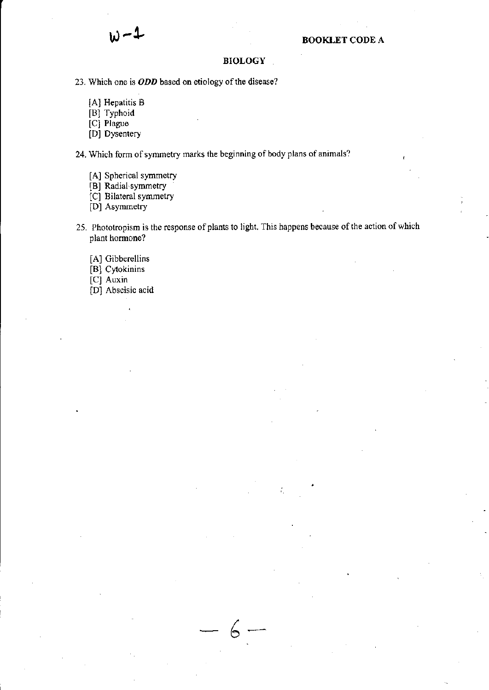### **BIOLOGY**

23. Which one is ODD based on etiology of the disease?

- [A] Hepatitis B
- [B] Typhoid
- [C] Plague
- [D] Dysentery

24. Which form of symmetry marks the beginning of body plans of animals?

- [A] Spherical symmetry
- [B] Radial symmetry
- [C] Bilateral symmetry
- [D] Asymmetry
- 25. Phototropism is the response of plants to light. This happens because of the action of which plant hormone?

6

- [A] Gibberellins
- [B] Cytokinins
- [C] Auxin
- [D] Abscisic acid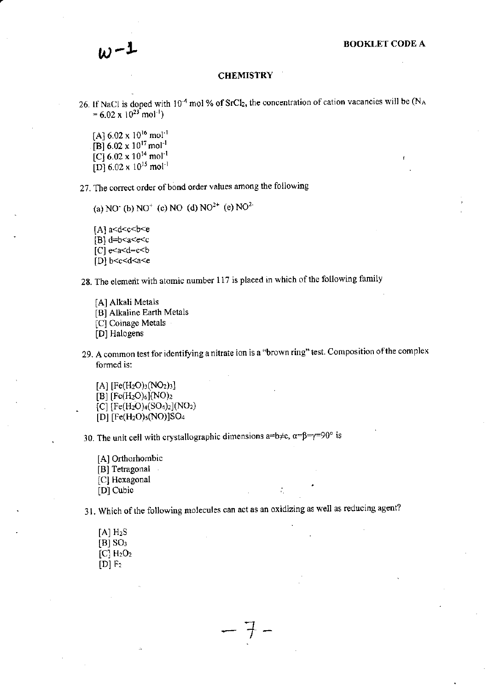$$
\omega^{-1}
$$

### **CHEMISTRY**

- 26. If NaCl is doped with  $10^{-4}$  mol % of SrCl<sub>2</sub>, the concentration of cation vacancies will be (N<sub>A</sub>  $= 6.02 \times 10^{23}$  mol<sup>-1</sup>)
	- [A]  $6.02 \times 10^{16}$  mol<sup>-1</sup> [B]  $6.02 \times 10^{17}$  mol<sup>-1</sup> [C]  $6.02 \times 10^{14}$  mol<sup>-1</sup> [D]  $6.02 \times 10^{15}$  mol<sup>-1</sup>

27. The correct order of bond order values among the following

(a) NO<sup>+</sup> (c) NO<sup>+</sup> (d) NO<sup>2+</sup> (e) NO<sup>2+</sup>

[A] $a < d < c < b < e$ [B]  $d=b < a < e < c$ 

 $[C]$  e $\leq a \leq d = c \leq b$ 

 $[D]$  b < c < d < a < e

28. The element with atomic number 117 is placed in which of the following family

[A] Alkali Metals

[B] Alkaline Earth Metals

[C] Coinage Metals

[D] Halogens

29. A common test for identifying a nitrate ion is a "brown ring" test. Composition of the complex formed is:

[A] [Fe(H<sub>2</sub>O)<sub>3</sub>(NO<sub>2</sub>)<sub>3</sub>] [B]  $[Fe(H<sub>2</sub>O)<sub>6</sub>](NO)<sub>2</sub>$ [C] [Fe(H<sub>2</sub>O)<sub>4</sub>(SO<sub>4</sub>)<sub>2</sub>](NO<sub>2</sub>) [D] [Fe(H<sub>2</sub>O)<sub>5</sub>(NO)]SO<sub>4</sub>

30. The unit cell with crystallographic dimensions a=b≠c,  $\alpha = \beta = \gamma = 90^{\circ}$  is

[A] Orthorhombic [B] Tetragonal [C] Hexagonal [D] Cubic

31. Which of the following molecules can act as an oxidizing as well as reducing agent?

 $-$  +

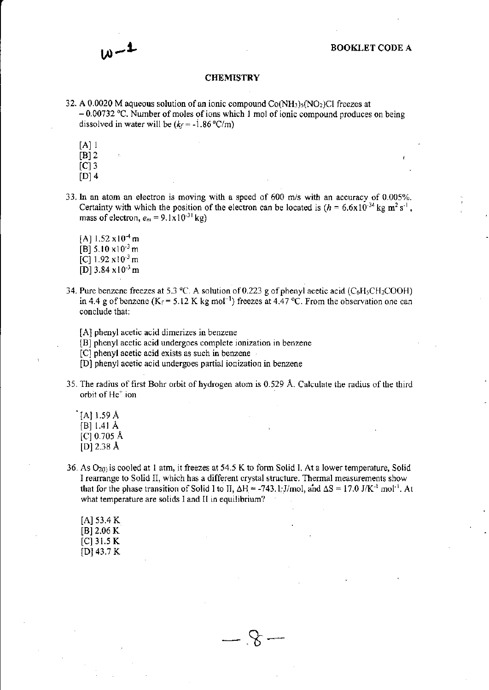### **CHEMISTRY**

- 32. A 0.0020 M aqueous solution of an ionic compound  $Co(NH<sub>3</sub>)<sub>5</sub>(NO<sub>2</sub>)Cl$  freezes at  $-0.00732$  °C. Number of moles of ions which 1 mol of ionic compound produces on being dissolved in water will be  $(k_f = -1.86 \degree C/m)$ 
	- $[A]$  1
	- $[B]$  2
	- $|C|$  3
	- $[D]$  4
- 33. In an atom an electron is moving with a speed of 600 m/s with an accuracy of 0.005%. Certainty with which the position of the electron can be located is  $(h = 6.6 \times 10^{-34} \text{ kg m}^2 \text{ s}^{-1})$ , mass of electron,  $e_m = 9.1 \times 10^{-31}$  kg)
	- [A]  $1.52 \times 10^{-4}$  m [B]  $5.10 \times 10^{-3}$  m [C]  $1.92 \times 10^{-3}$  m  $[D]$  3.84 x 10<sup>-3</sup> m
- 34. Pure benzene freezes at 5.3 °C. A solution of 0.223 g of phenyl acetic acid (C6H<sub>5</sub>CH<sub>2</sub>COOH) in 4.4 g of benzene ( $K_f$  = 5.12 K kg mol<sup>-1</sup>) freezes at 4.47 °C. From the observation one can conclude that:
	- [A] phenyl acetic acid dimerizes in benzene
	- [B] phenyl acetic acid undergoes complete ionization in benzene
	- [C] phenyl acetic acid exists as such in benzene
	- [D] phenyl acetic acid undergoes partial ionization in benzene
- 35. The radius of first Bohr orbit of hydrogen atom is 0.529 Å. Calculate the radius of the third orbit of He<sup>+</sup> ion
	- $[A]$  1.59 Å [B]  $1.41 \text{ Å}$  $[C]$  0.705 Å [D]  $2.38 \text{ Å}$
- 36. As  $O_{2(1)}$  is cooled at 1 atm, it freezes at 54.5 K to form Solid I. At a lower temperature, Solid I rearrange to Solid II, which has a different crystal structure. Thermal measurements show that for the phase transition of Solid I to II,  $\Delta H = -743$ . 1; J/mol, and  $\Delta S = 17.0$  J/K<sup>-1</sup> mol<sup>-1</sup>. At what temperature are solids I and II in equilibrium?

 $\mathcal{S}$  .

 $[A]$  53.4 K  $[B] 2.06 K$  $[C]$  31.5 K [D]  $43.7 K$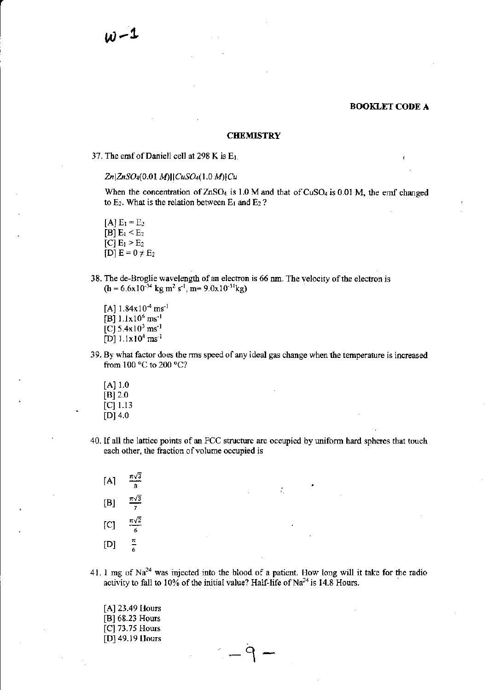### **CHEMISTRY**

### 37. The emf of Daniell cell at 298 K is  $E_1$ .

### $Zn|ZnSO_4(0.01 M)||CuSO_4(1.0 M)|Cu$

When the concentration of  $ZnSO<sub>4</sub>$  is 1.0 M and that of  $CuSO<sub>4</sub>$  is 0.01 M, the emf changed to  $E_2$ . What is the relation between  $E_1$  and  $E_2$ ?

 $[A]$  E<sub>1</sub> = E<sub>2</sub> [B]  $E_1 < E_2$  $[C]$  E<sub>1</sub> > E<sub>2</sub>  $[D] E = 0 \neq E_2$ 

- 38. The de-Broglie wavelength of an electron is 66 nm. The velocity of the electron is  $(h = 6.6 \times 10^{-34} \text{ kg m}^2 \text{ s}^{-1}, \text{m} = 9.0 \times 10^{-31} \text{ kg})$ 
	- [A]  $1.84x10^4$  ms<sup>-1</sup> [B] 1.1x10<sup>6</sup> ms<sup>-1</sup> [C]  $5.4x10^3$  ms<sup>-1</sup> [D]  $1.1x10^4$  ms<sup>-1</sup>
- 39. By whal factor does the rms speed of ary ideal gas change when the temperature is increased from 100 °C to 200 °C?
	- $[A]$  1.0  $[B] 2.0$  $|C|$  1.13  $[D]$  4.0
- 40. If all the lattice points of an FCC structure are occupied by uniform hard spheres that touch each other, the fraction of volume occupied is

| [A] | $\pi\sqrt{3}$<br>8 |
|-----|--------------------|
| [B] | $\pi\sqrt{3}$<br>7 |
| ſС] | $\pi\sqrt{2}$<br>6 |
| [D] | π<br>6             |

41. 1 mg of  $Na^{24}$  was injected into the blood of a patient. How long will it take for the radio activity to fall to  $10\%$  of the initial value? Half-life of Na<sup>24</sup> is 14.8 Hours.

> $-\dot{q}$   $-$ I

[A] 23.49 Hours [B] 68.23 Hours [C] 73.75 Hours [D] 49.19 Uours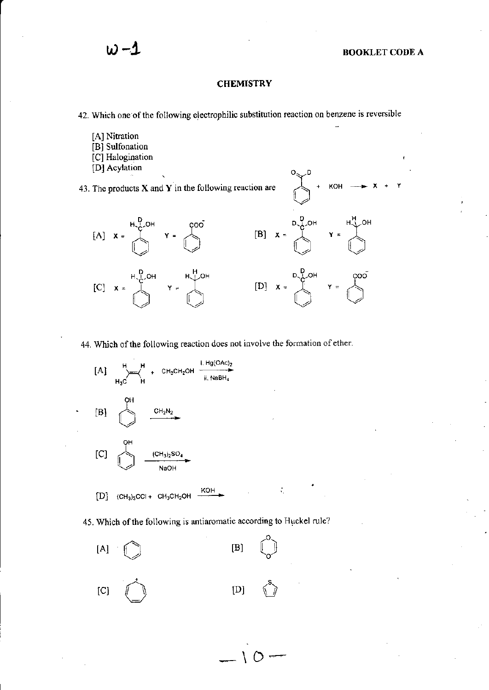$\mathbf{X} + \mathbf{Y}$ 

 $KOH$  -

### **CHEMISTRY**

42. Which one of the following electrophilic substitution reaction on benzene is reversible

- [A] Nitration [B] Sulfonation
- [C] Halogination
- [D] Acylation

43. The products  $X$  and  $Y$  in the following reaction are



44. Which of the following reaction does not involve the formation of ether.



45. Which of the following is antiaromatic according to Huckel rule?

 $-10-$ 

÷.

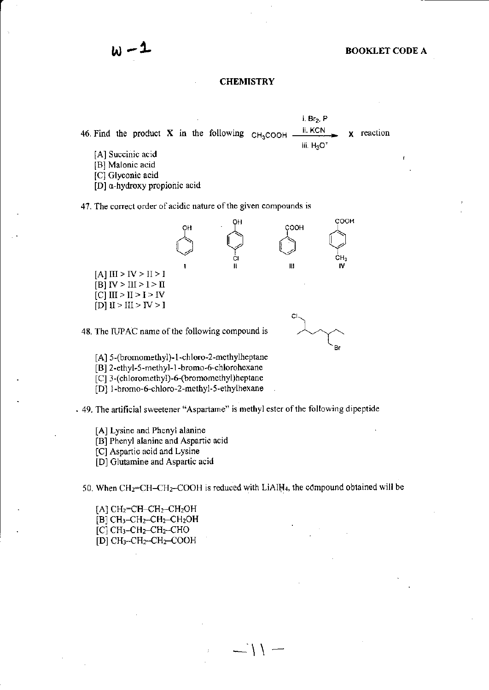### **CHEMISTRY**

i. Br<sub>2</sub>, P ii. KCN 46. Find the product X in the following  $CH<sub>3</sub>COOH$ x reaction iii.  $H_3O^4$ 

- [A] Succinic acid
- [B] Malonic acid

[C] Glyconic acid

[D] a-hydroxy propionic acid

47. The correct order of acidic nature of the given compounds is



48. The IUPAC name of the following compound is

[A] 5-(bromomethyl)-1-chloro-2-methylheptane

[B] 2-ethyl-5-methyl-1-bromo-6-chlorohexane

[C] 3-(chloromethyl)-6-(bromomethyl)heptane

[D] 1-bromo-6-chloro-2-methyl-5-ethylhexane

- 49. The artificial sweetener "Aspartame" is methyl ester of the following dipeptide

[A] Lysine and Phenyl alanine

[B] Phenyl alanine and Aspartic acid

[C] Aspartic acid and Lysine

[D] Glutamine and Aspartic acid

50. When CH<sub>2</sub>=CH-CH<sub>2</sub>-COOH is reduced with LiAlH<sub>4</sub>, the compound obtained will be

 $-11-$ 

[A]  $CH_2=CH-CH_2-CH_2OH$  $[B]$  CH<sub>3</sub>-CH<sub>2</sub>-CH<sub>2</sub>-CH<sub>2</sub>OH  $[C]$  CH<sub>3</sub>-CH<sub>2</sub>-CH<sub>2</sub>-CHO  $[D] CH<sub>3</sub>-CH<sub>2</sub>-CH<sub>2</sub>-COOH$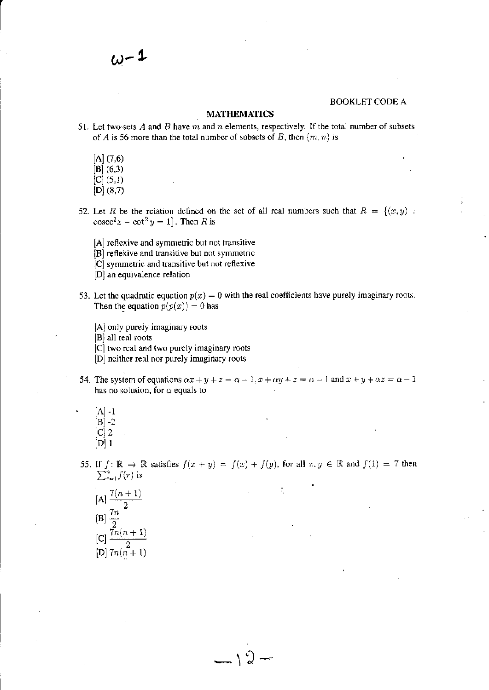### **MATHEMATICS**

- 51. Let two-sets  $A$  and  $B$  have  $m$  and  $n$  elements, respectively. If the total number of subsets of A is 56 more than the total number of subsets of B, then  $(m, n)$  is
	- $[A] (7,6)$
	- $[B]$  (6,3)
	- $[C] (5,1)$
	- $[D]$  (8,7)
- 52. Let R be the relation defined on the set of all real numbers such that  $R = \{(x, y) :$  $\csc^2 x - \cot^2 y = 1$ . Then R is
	- [A] reflexive and symmetric but not transitive
	- [B] reflexive and transitive but not symmetric
	- [C] symmetric and transitive but not reflexive
	- [D] an equivalence relation
- 53. Let the quadratic equation  $p(x) = 0$  with the real coefficients have purely imaginary roots. Then the equation  $p(p(x)) = 0$  has
	- [A] only purely imaginary roots
	- [B] all real roots
	- [C] two real and two purely imaginary roots
	- [D] neither real nor purely imaginary roots
- 54. The system of equations  $\alpha x + y + z = \alpha + 1$ ,  $x + \alpha y + z = \alpha 1$  and  $x + y + \alpha z = \alpha 1$ has no solution, for  $\alpha$  equals to
	- $[A]-1$  $|B| -2$  $[C]$  2  $[D]$  1
- 55. If  $f: \mathbb{R} \to \mathbb{R}$  satisfies  $f(x + y) = f(x) + f(y)$ , for all  $x, y \in \mathbb{R}$  and  $f(1) = 7$  then  $\sum_{r=1}^{n} f(r)$  is

 $-12-$ 

[A] 
$$
\frac{7(n+1)}{2}
$$
  
\n[B] 
$$
\frac{7n}{2}
$$
  
\n[C] 
$$
\frac{7n(n+1)}{2}
$$
  
\n[D] 
$$
7n(n+1)
$$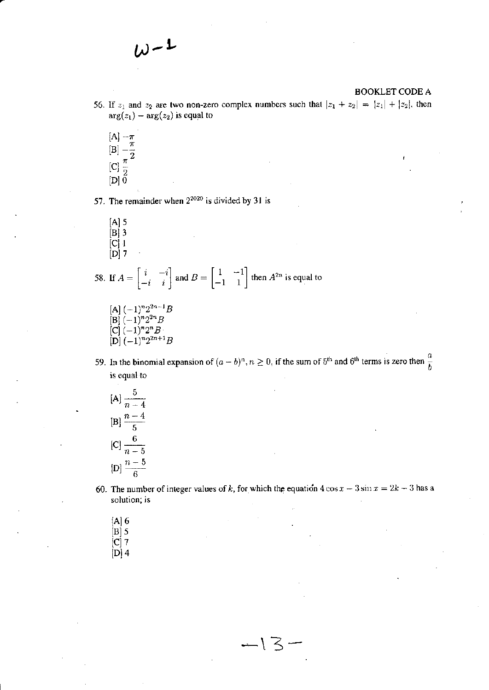- 56. If  $z_1$  and  $z_2$  are two non-zero complex numbers such that  $|z_1 + z_2| = |z_1| + |z_2|$ , then  $arg(z_1) - arg(z_2)$  is equal to
	- [A]  $-\frac{\pi}{\pi}$ <br>[B]  $-\frac{\pi}{2}$ <br>[C]  $\frac{\pi}{2}$ <br>[D] 0

57. The remainder when  $2^{2020}$  is divided by 31 is

 $[A]$  5  $[B]$  3  $\begin{array}{c} \left[ \mathbf{C} \right] \mathbf{1} \\ \left[ \mathbf{D} \right] \mathbf{7} \end{array}$ 

58. If  $A = \begin{bmatrix} i & -i \\ -i & i \end{bmatrix}$  and  $B = \begin{bmatrix} 1 & -1 \\ -1 & 1 \end{bmatrix}$  then  $A^{2n}$  is equal to

- [A]  $(-1)^n 2^{2n-1}B$ <br>
[B]  $(-1)^n 2^{2n}B$ <br>
[C]  $(-1)^n 2^nB$ <br>
[D]  $(-1)^n 2^{2n+1}B$
- 59. In the binomial expansion of  $(a b)^n$ ,  $n \ge 0$ , if the sum of 5<sup>th</sup> and 6<sup>th</sup> terms is zero then  $\frac{a}{b}$ is equal to
	- $[A] \frac{5}{n-4}$ [B]  $\frac{n-4}{5}$ [C]  $\frac{6}{n-5}$ [D]  $\frac{n-5}{6}$
- 60. The number of integer values of k, for which the equation  $4\cos x 3\sin x = 2k 3$  has a solution; is

 $-13-$ 

- $[A]$  6  $\begin{bmatrix} B & 5 \\ C & 7 \end{bmatrix}$
- $[D]$  4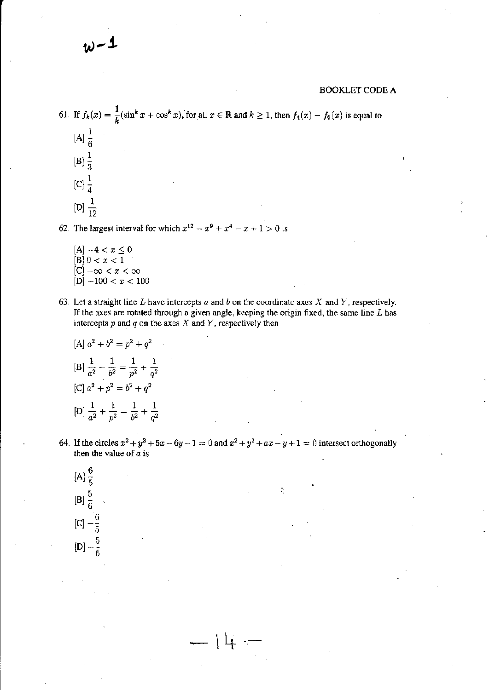61. If 
$$
f_k(x) = \frac{1}{k} (\sin^k x + \cos^k x)
$$
, for all  $x \in \mathbb{R}$  and  $k \ge 1$ , then  $f_4(x) - f_6(x)$  is equal to  
\n[A]  $\frac{1}{6}$   
\n[B]  $\frac{1}{3}$   
\n[C]  $\frac{1}{4}$   
\n[D]  $\frac{1}{12}$ 

62. The largest interval for which  $x^{12} - x^9 + x^4 - x + 1 > 0$  is

- $[A] -4 < x \leq 0$  $[B] 0 < x < 1$  $[C]$  - $\infty < x < \infty$  $[D] - 100 < x < 100$
- 63. Let a straight line  $L$  have intercepts  $a$  and  $b$  on the coordinate axes  $X$  and  $Y$ , respectively. If the axes are rotated through a given angle, keeping the origin fixed, the same line  $L$  has intercepts  $p$  and  $q$  on the axes  $X$  and  $Y$ , respectively then

[A] 
$$
a^2 + b^2 = p^2 + q^2
$$
  
\n[B]  $\frac{1}{a^2} + \frac{1}{b^2} = \frac{1}{p^2} + \frac{1}{q^2}$   
\n[C]  $a^2 + p^2 = b^2 + q^2$   
\n[D]  $\frac{1}{a^2} + \frac{1}{p^2} = \frac{1}{b^2} + \frac{1}{q^2}$ 

64. If the circles  $x^2 + y^2 + 5x - 6y - 1 = 0$  and  $x^2 + y^2 + ax - y + 1 = 0$  intersect orthogonally then the value of  $a$  is

[A] 
$$
\frac{6}{5}
$$
  
\n[B]  $\frac{5}{6}$   
\n[C]  $-\frac{6}{5}$   
\n[D]  $-\frac{5}{6}$ 

 $l_{\perp}$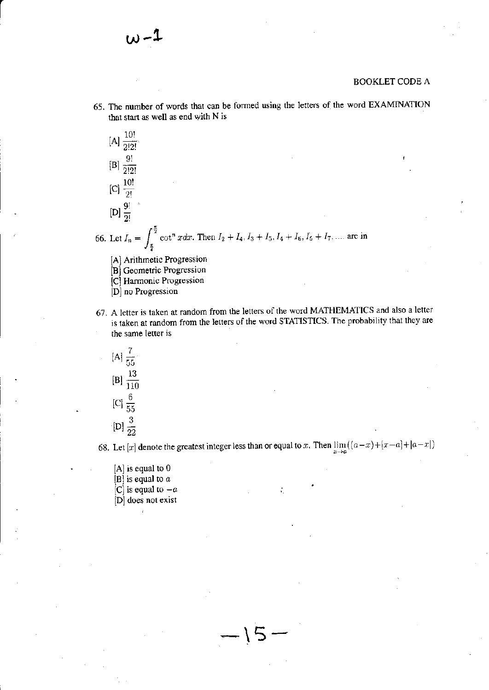65. The number of words that can be formed using the letters of the word EXAMINATION that start as well as end with N is



- [C] Harmonic Progression
- [D] no Progression
- 67. A letter is taken at random from the letters of the word MATHEMATICS and also a letter is taken at random from the letters of the word STATISTICS. The probability that they are the same letter is



68. Let [x] denote the greatest integer less than or equal to x. Then  $\lim_{x\to a}((a-x)+(x-a)+(a-x))$ 

- $[A]$  is equal to 0
- [B] is equal to  $a$
- [C] is equal to  $-a$
- [D] does not exist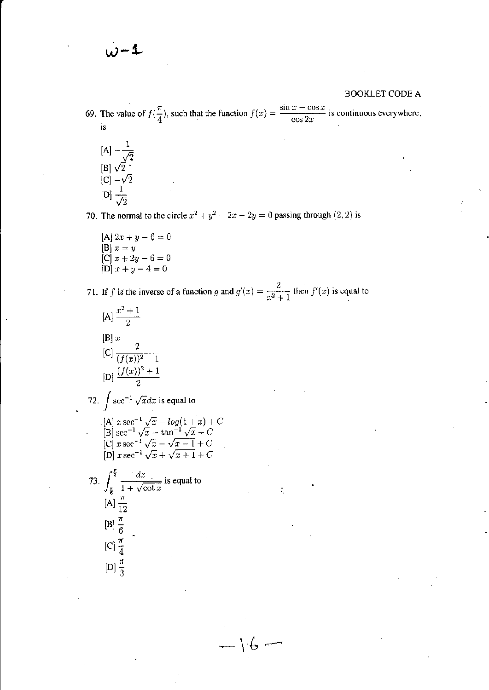- 69. The value of  $f(\frac{\pi}{4})$ , such that the function  $f(x) = \frac{\sin x \cos x}{\cos 2x}$  is continuous everywhere, is
	- $[A] \frac{1}{\sqrt{2}}$ [B]  $\sqrt{2}$ <br>[C]  $-\sqrt{2}$ <br>[D]  $\frac{1}{\sqrt{2}}$

70. The normal to the circle  $x^2 + y^2 - 2x - 2y = 0$  passing through (2, 2) is

[A]  $2x + y - 6 = 0$ [B]  $x = y$ <br>
[C]  $x + 2y - 6 = 0$ <br>
[D]  $x + y - 4 = 0$ 

71. If f is the inverse of a function g and  $g'(x) = \frac{2}{x^2 + 1}$  then  $f'(x)$  is equal to

 $\leftarrow \mathcal{C}$ 

[A] 
$$
\frac{x^2 + 1}{2}
$$
  
\n[B] x  
\n[C]  $\frac{2}{(f(x))^2 + 1}$   
\n[D]  $\frac{(f(x))^2 + 1}{2}$   
\n72.  $\int \sec^{-1} \sqrt{x} dx$  is equal to  
\n[A]  $x \sec^{-1} \sqrt{x} - \log(1+x) + C$   
\n[B]  $\sec^{-1} \sqrt{x} - \tan^{-1} \sqrt{x} + C$   
\n[C]  $x \sec^{-1} \sqrt{x} - \sqrt{x-1} + C$   
\n[D]  $x \sec^{-1} \sqrt{x} + \sqrt{x+1} + C$   
\n73.  $\int_{\frac{\pi}{6}}^{\frac{\pi}{3}} \frac{dx}{1 + \sqrt{\cot x}}$  is equal to  
\n[A]  $\frac{\pi}{12}$   
\n[B]  $\frac{\pi}{6}$   
\n[C]  $\frac{\pi}{4}$   
\n[D]  $\frac{\pi}{3}$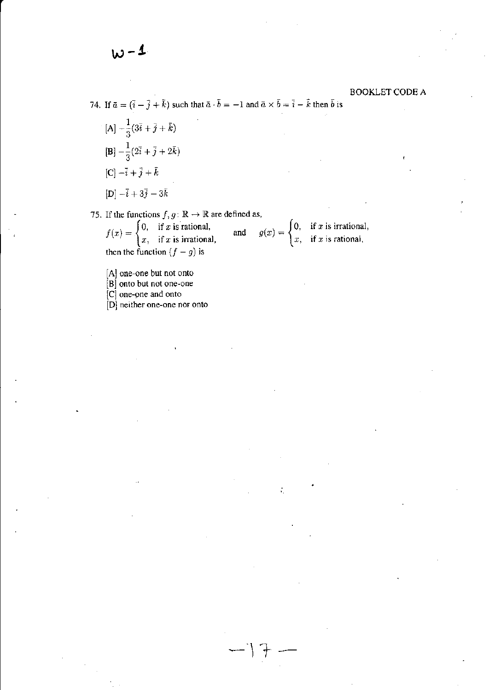- 74. If  $\bar{a} = (\bar{i} \bar{j} + \bar{k})$  such that  $\bar{a} \cdot \bar{b} = -1$  and  $\bar{a} \times \bar{b} = \bar{i} \bar{k}$  then  $\bar{b}$  is
	- $\frac{1}{3}(3\bar{i}+\bar{j}+\bar{k})$  $[\mathbf{B}] - \frac{1}{3}(2\bar{i} + \bar{j} + 2\bar{k})$  $[C] - \bar{i} + \bar{j} + \bar{k}$  $[D] - \bar{i} + 3\bar{j} - 3\bar{k}$

75. If the functions  $f, g : \mathbb{R} \to \mathbb{R}$  are defined as,

 $f(x) = \begin{cases} 0, & \text{if } x \text{ is rational,} \\ x, & \text{if } x \text{ is irrational,} \end{cases}$ <br>then the function  $(f - g)$  is  $g(x) = \begin{cases} 0, & \text{if } x \text{ is irrational,} \\ x, & \text{if } x \text{ is rational,} \end{cases}$  $\quad \text{and} \quad$ 

[A] one-one but not onto

[B] onto but not one-one

 $|C|$  one-one and onto

[D] neither one-one nor onto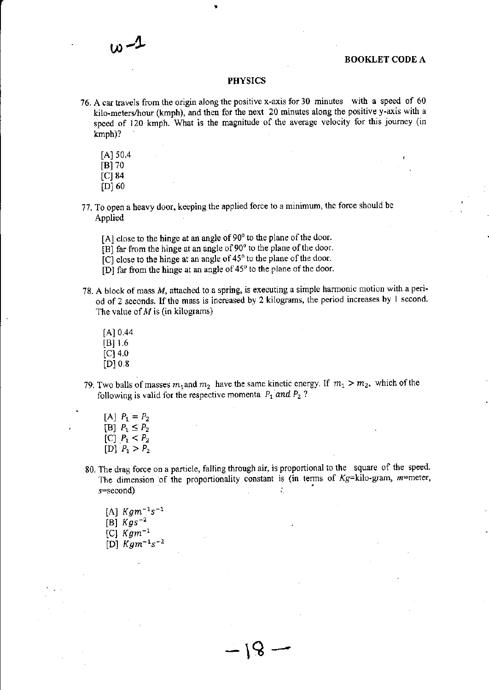### PHYSICS

- ?6. A cartravels from the oigin along the positivc x-axis for 30 mirutes with a speed of <sup>60</sup> kilo-meters/hour (kmph), and then for the next 20 minutes along the positive y-axis with a speed of 120 krnph. What is the magnitude of the average velocity for this joumcy (in kmph)?
	- $[A]$  50.4
	- IBI 70
	- $[C]$  84
	- [D] 60
- 77. To open a heavy door, keeping the applied force to a minimum, the force should be Applied
	- [A] close to the hinge at an angle of  $90^\circ$  to the plane of the door.
	- [B] far from the hinge at an angle of 90° to the plane of the door,
	- [C] close to the hinge at an angle of  $45^\circ$  to the plane of the door.
	- [D] far from the hinge at an angle of  $45^\circ$  to the plane of the door.
- 78. A block of mass M, attached to a spring, is executing a simple harmonic motion with a peri\_ od of 2 seconds. If the mass is increased by 2 kilograms, the period increases by 1 second. The value of  $M$  is (in kilograms)
	- $[A] 0.44$  $[B]$  1.6  $[**C**]$  4.0  $[D] 0.8$
- 79. Two balls of masses  $m_1$  and  $m_2$  have the same kinetic energy. If  $m_1 > m_2$ , which of the following is valid for the respective momenta  $P_1$  and  $P_2$ ?
	- [A]  $P_1 = P_2$ [B]  $P_1 \leq P_2$ [C]  $P_1 < P_2$  $[D]$   $P_1 > P_2$
- 80. The drag force on a particle, falling through air, is proportional to the square of the speed. The dimension of the proportionality constant is (in terms of  $Kg=$ kilo-gram, m=meter,  $s = second$ ) ÷.

 $-18$ 

[A]  $Kgm^{-1}s^{-1}$ [B]  $Kgs^{-2}$ [C]  $K g m^{-1}$ [D]  $Kgm^{-1}s^{-2}$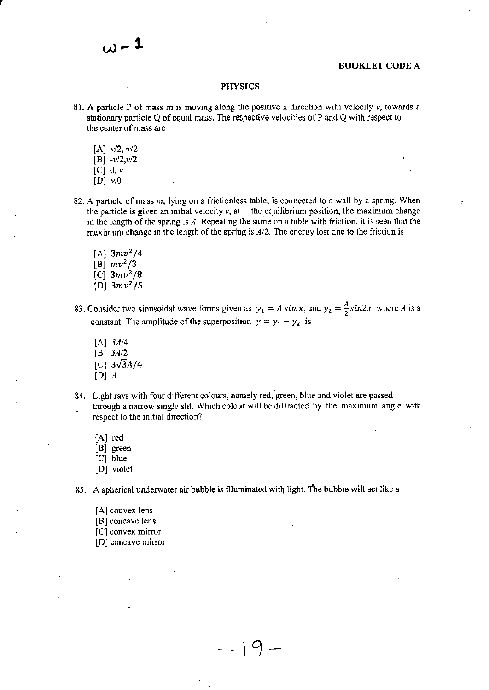### **PHYSICS**

- 81. A particle P of mass m is moving along the positive x direction with velocity  $v$ , towards a stationary particle  $Q$  of equal mass. The respective velocities of P and  $Q$  with respect to the center of mass arc
	- $[A]$   $v/2, -v/2$

 $\omega$  – 1

- $[B] -v/2, v/2$
- [C]  $0, v$
- $[D]$   $v,0$
- 82. A particle of mass  $m$ , lying on a frictionless table, is connected to a wall by a spring. When the particle is given an initial velocity  $v$ , at the equilibrium position, the maximum change in the length of the spring is  $A$ . Repeating the same on a table with friction, it is seen that the maximum change in the length of the spring is  $A/2$ . The energy lost due to the friction is
	- [A]  $3mv^2/4$ [B]  $mv^2/3$ [C]  $3mv^2/8$
	- [D]  $3mv^2/5$
- 83. Consider two sinusoidal wave forms given as  $y_1 = A \sin x$ , and  $y_2 = \frac{A}{2} \sin 2x$  where A is a constant. The amplitude of the superposition  $y = y_1 + y_2$  is
	- $[A]$  3A/4 [B]  $3A/2$ [C]  $3\sqrt{3}A/4$ [D]  $A$
- 84. Light rays with four different colours, namely red, green, blue and violet are passed . through a narrow single slit. Which colour will be diffracted by the maximum angle with respect to the initial direction?
	- [A] red
	- [B] green
	- $|C|$  blue
	- [D] violet

85. A spherical underwater air bubble is illuminated with light. The bubble will act like a

l.o

 $\mathfrak{f}\circ$ 

-

- [A] convex lens
- [B] concave lens
- [C] convex mirror
- [D] concave mirror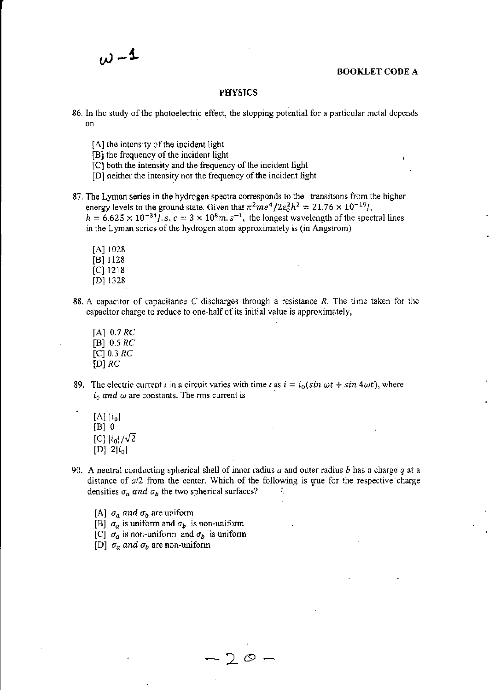### **PHYSICS**

- 86. In the study of the photoelectric effect, the stopping potential for a particular metal depends on
	- [A] the intensity of the incident light
	- [B] the frequency of the incident light
	- [C] both the intensity and the frequency of the incident light
	- [D] neither the intensity nor the frequency of the incident light
- 87. The Lyman series in the hydrogen spectra corresponds to the transitions from the higher energy levels to the ground state. Given that  $\pi^2 m e^4 / 2 \varepsilon_0^2 h^2 = 21.76 \times 10^{-19}$ .  $h=6.625\times 10^{-34}$ , s,  $c=3\times 10^8$ m. s<sup>-1</sup>, the longest wavelength of the spectral lines in the Lyman series of the hydrogen atom approximately is (in Angstrom)
	- IAI 1028  $[B]$  1128  $[C]$  1218 lDl i328
	-
- 88. A capacitor of capacitance C discharges through a resistance R. The time taken for the capacitor charge to reduce to one-half of its initial value is approximately,
	- $[A]$  0.7  $RC$ [B]  $0.5 RC$  $[C] 0.3 RC$  $[D]$  RC
- 89. The electric current *i* in a circuit varies with time *t* as  $i = i_0(\sin \omega t + \sin 4\omega t)$ , where  $i_0$  and  $\omega$  are constants. The rms current is
	- $[A]$   $[i_0]$  $[B]$  0 [C]  $|i_0|/\sqrt{2}$ [D]  $2|i_0|$
- 90. A neutral conducting spherical shell of inner radius a and outer radius b has a charge q at a distance of  $a/2$  from the center. Which of the following is true for the respective charge densities  $\sigma_a$  and  $\sigma_b$  the two spherical surfaces?
	- [A]  $\sigma_a$  and  $\sigma_b$  are uniform
	- [B]  $\sigma_a$  is uniform and  $\sigma_b$  is non-uniform
	- [C]  $\sigma_a$  is non-uniform and  $\sigma_b$  is uniform
	- [D]  $\sigma_a$  and  $\sigma_b$  are non-uniform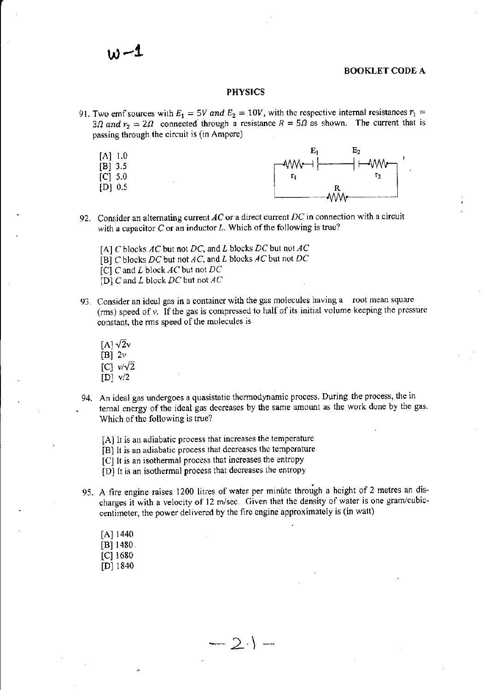### **PHYSICS**

- 91. Two emf sources with  $E_1 = 5V$  and  $E_2 = 10V$ , with the respective internal resistances  $r_1 =$ 3 $\Omega$  and  $r_2 = 2\Omega$  connected through a resistance  $R = 5\Omega$  as shown. The current that is passing through the circuit is (in Ampere)
	- $[A]$  1.0
	- $[B]$ 3.5
	- $\lceil C \rceil$  5.0
	- $[D] 0.5$



- 92. Consider an alternating current  $AC$  or a direct current  $DC$  in connection with a circuit with a capacitor  $C$  or an inductor  $L$ . Which of the following is true?
	- [A] C blocks  $AC$  but not DC, and L blocks DC but not  $AC$
	- [B] C blocks DC but not AC, and L blocks AC but not DC
	- [C]  $C$  and  $L$  block  $AC$  but not  $DC$
	- [D]  $C$  and  $L$  block  $DC$  but not  $AC$
- 93. Consider an ideal gas in a container with the gas molecules having a root mean square (rms) speed of  $\nu$ . If the gas is compressed to half of its initial volume keeping the pressure constant, the rms speed of the molecules is
	- $[A] \sqrt{2}v$
	- [B]  $2v$
	- $[C]$   $v/\sqrt{2}$
	- $[D]$   $v/2$
- 94. An ideal gas undergoes a quasistatic thermodynamic process. During the process, the in ternal energy of the ideal gas decreases by the same amount as the work done by the gas. Which of the following is true?
	- [A] It is an adiabatic process that increases the temperature
	- [B] It is an adiabatic process that decreases the temperature
	- [C] It is an isothermal process that increases the entropy
	- [D] It is an isothermal process that decreases the entropy
- 95. A fire engine raises 1200 litres of water per minute through a height of 2 metres an discharges it with a velocity of 12 m/sec. Given that the density of water is one gram/cubiccentimeter, the power delivered by the fire engine approximately is (in watt)

 $-2$ .) -

 $[A]$  1440  $[B]$  1480  $[C]$  1680  $[D]$  1840